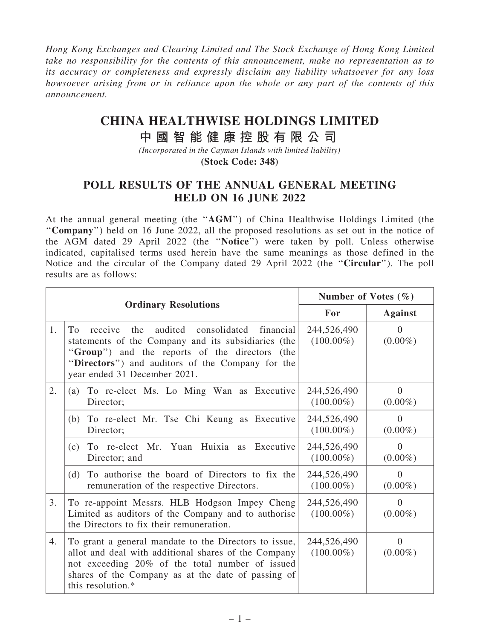Hong Kong Exchanges and Clearing Limited and The Stock Exchange of Hong Kong Limited take no responsibility for the contents of this announcement, make no representation as to its accuracy or completeness and expressly disclaim any liability whatsoever for any loss howsoever arising from or in reliance upon the whole or any part of the contents of this announcement.

## **CHINA HEALTHWISE HOLDINGS LIMITED**

## **中 國 智 能 健 康 控 股 有 限 公 司**

*(Incorporated in the Cayman Islands with limited liability)* **(Stock Code: 348)**

## POLL RESULTS OF THE ANNUAL GENERAL MEETING HELD ON 16 JUNE 2022

At the annual general meeting (the ''AGM'') of China Healthwise Holdings Limited (the ''Company'') held on 16 June 2022, all the proposed resolutions as set out in the notice of the AGM dated 29 April 2022 (the ''Notice'') were taken by poll. Unless otherwise indicated, capitalised terms used herein have the same meanings as those defined in the Notice and the circular of the Company dated 29 April 2022 (the ''Circular''). The poll results are as follows:

|                             |                                                                                                                                                                                                                                                     | Number of Votes $(\% )$     |                        |
|-----------------------------|-----------------------------------------------------------------------------------------------------------------------------------------------------------------------------------------------------------------------------------------------------|-----------------------------|------------------------|
| <b>Ordinary Resolutions</b> |                                                                                                                                                                                                                                                     | For                         | <b>Against</b>         |
| 1.                          | To<br>the<br>audited consolidated financial<br>receive<br>statements of the Company and its subsidiaries (the<br>"Group") and the reports of the directors (the<br>"Directors") and auditors of the Company for the<br>year ended 31 December 2021. | 244,526,490<br>$(100.00\%)$ | $\Omega$<br>$(0.00\%)$ |
| 2.                          | To re-elect Ms. Lo Ming Wan as Executive<br>(a)<br>Director;                                                                                                                                                                                        | 244,526,490<br>$(100.00\%)$ | $\Omega$<br>$(0.00\%)$ |
|                             | (b) To re-elect Mr. Tse Chi Keung as Executive<br>Director;                                                                                                                                                                                         | 244,526,490<br>$(100.00\%)$ | $\Omega$<br>$(0.00\%)$ |
|                             | To re-elect Mr. Yuan Huixia as Executive<br>(c)<br>Director; and                                                                                                                                                                                    | 244,526,490<br>$(100.00\%)$ | $\Omega$<br>$(0.00\%)$ |
|                             | (d) To authorise the board of Directors to fix the<br>remuneration of the respective Directors.                                                                                                                                                     | 244,526,490<br>$(100.00\%)$ | $\Omega$<br>$(0.00\%)$ |
| 3.                          | To re-appoint Messrs. HLB Hodgson Impey Cheng<br>Limited as auditors of the Company and to authorise<br>the Directors to fix their remuneration.                                                                                                    | 244,526,490<br>$(100.00\%)$ | $\Omega$<br>$(0.00\%)$ |
| 4.                          | To grant a general mandate to the Directors to issue,<br>allot and deal with additional shares of the Company<br>not exceeding 20% of the total number of issued<br>shares of the Company as at the date of passing of<br>this resolution.*         | 244,526,490<br>$(100.00\%)$ | $\Omega$<br>$(0.00\%)$ |